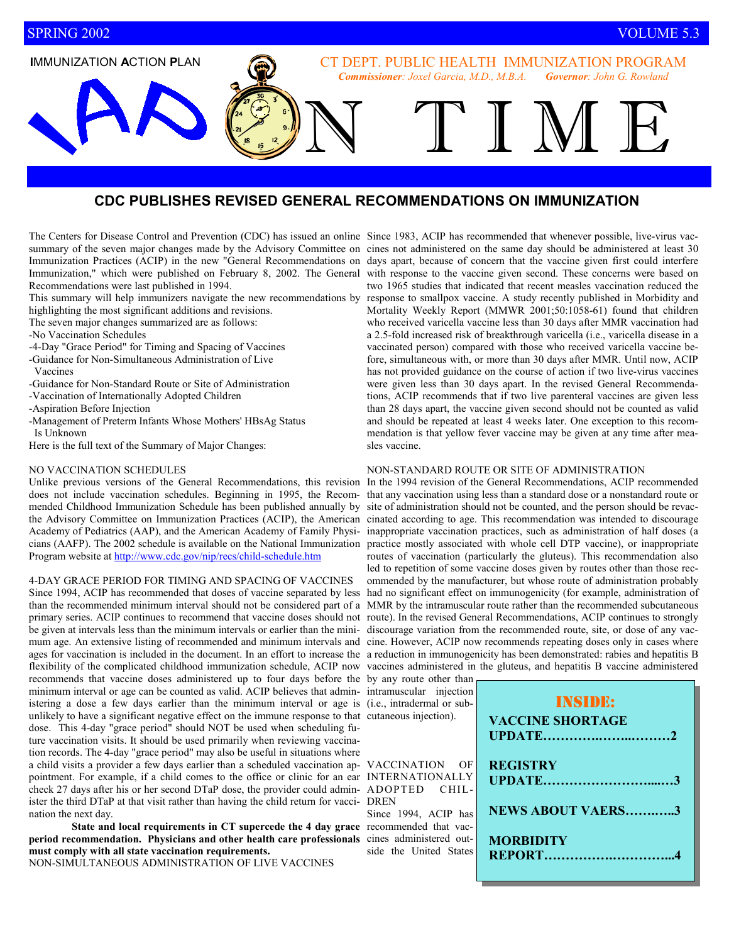**I**MMUNIZATION **A**CTION **P**LAN

CT DEPT. PUBLIC HEALTH IMMUNIZATION PROGRAM *Commissioner: Joxel Garcia, M.D., M.B.A. Governor: John G. Rowland* 

N TIME

# **CDC PUBLISHES REVISED GENERAL RECOMMENDATIONS ON IMMUNIZATION**

summary of the seven major changes made by the Advisory Committee on cines not administered on the same day should be administered at least 30 Immunization Practices (ACIP) in the new "General Recommendations on days apart, because of concern that the vaccine given first could interfere Immunization," which were published on February 8, 2002. The General with response to the vaccine given second. These concerns were based on Recommendations were last published in 1994.

This summary will help immunizers navigate the new recommendations by highlighting the most significant additions and revisions.

The seven major changes summarized are as follows:

-No Vaccination Schedules

- -4-Day "Grace Period" for Timing and Spacing of Vaccines
- -Guidance for Non-Simultaneous Administration of Live Vaccines
- -Guidance for Non-Standard Route or Site of Administration
- -Vaccination of Internationally Adopted Children
- -Aspiration Before Injection
- -Management of Preterm Infants Whose Mothers' HBsAg Status Is Unknown
- Here is the full text of the Summary of Major Changes:

### NO VACCINATION SCHEDULES

Unlike previous versions of the General Recommendations, this revision In the 1994 revision of the General Recommendations, ACIP recommended Program website at http://www.cdc.gov/nip/recs/child-schedule.htm

#### 4-DAY GRACE PERIOD FOR TIMING AND SPACING OF VACCINES

be given at intervals less than the minimum intervals or earlier than the mini-discourage variation from the recommended route, site, or dose of any vacflexibility of the complicated childhood immunization schedule, ACIP now vaccines administered in the gluteus, and hepatitis B vaccine administered recommends that vaccine doses administered up to four days before the by any route other than minimum interval or age can be counted as valid. ACIP believes that administering a dose a few days earlier than the minimum interval or age is unlikely to have a significant negative effect on the immune response to that dose. This 4-day "grace period" should NOT be used when scheduling future vaccination visits. It should be used primarily when reviewing vaccination records. The 4-day "grace period" may also be useful in situations where a child visits a provider a few days earlier than a scheduled vaccination appointment. For example, if a child comes to the office or clinic for an ear check 27 days after his or her second DTaP dose, the provider could administer the third DTaP at that visit rather than having the child return for vaccination the next day.

**State and local requirements in CT supercede the 4 day grace period recommendation. Physicians and other health care professionals must comply with all state vaccination requirements.** 

NON-SIMULTANEOUS ADMINISTRATION OF LIVE VACCINES

The Centers for Disease Control and Prevention (CDC) has issued an online Since 1983, ACIP has recommended that whenever possible, live-virus vactwo 1965 studies that indicated that recent measles vaccination reduced the response to smallpox vaccine. A study recently published in Morbidity and Mortality Weekly Report (MMWR 2001;50:1058-61) found that children who received varicella vaccine less than 30 days after MMR vaccination had a 2.5-fold increased risk of breakthrough varicella (i.e., varicella disease in a vaccinated person) compared with those who received varicella vaccine before, simultaneous with, or more than 30 days after MMR. Until now, ACIP has not provided guidance on the course of action if two live-virus vaccines were given less than 30 days apart. In the revised General Recommendations, ACIP recommends that if two live parenteral vaccines are given less than 28 days apart, the vaccine given second should not be counted as valid and should be repeated at least 4 weeks later. One exception to this recommendation is that yellow fever vaccine may be given at any time after measles vaccine.

### NON-STANDARD ROUTE OR SITE OF ADMINISTRATION

does not include vaccination schedules. Beginning in 1995, the Recom-that any vaccination using less than a standard dose or a nonstandard route or mended Childhood Immunization Schedule has been published annually by site of administration should not be counted, and the person should be revacthe Advisory Committee on Immunization Practices (ACIP), the American cinated according to age. This recommendation was intended to discourage Academy of Pediatrics (AAP), and the American Academy of Family Physi-inappropriate vaccination practices, such as administration of half doses (a cians (AAFP). The 2002 schedule is available on the National Immunization practice mostly associated with whole cell DTP vaccine), or inappropriate Since 1994, ACIP has recommended that doses of vaccine separated by less had no significant effect on immunogenicity (for example, administration of than the recommended minimum interval should not be considered part of a MMR by the intramuscular route rather than the recommended subcutaneous primary series. ACIP continues to recommend that vaccine doses should not route). In the revised General Recommendations, ACIP continues to strongly mum age. An extensive listing of recommended and minimum intervals and cine. However, ACIP now recommends repeating doses only in cases where ages for vaccination is included in the document. In an effort to increase the a reduction in immunogenicity has been demonstrated: rabies and hepatitis B routes of vaccination (particularly the gluteus). This recommendation also led to repetition of some vaccine doses given by routes other than those recommended by the manufacturer, but whose route of administration probably

| by any fould other than<br>intramuscular injection<br>(i.e., intradermal or sub-<br>cutaneous injection).                                     | <b>INSIDE:</b><br><b>VACCINE SHORTAGE</b>                                  |
|-----------------------------------------------------------------------------------------------------------------------------------------------|----------------------------------------------------------------------------|
| VACCINATION OF<br><b>INTERNATIONALLY</b><br>ADOPTED CHIL-<br>DREN<br>Since 1994, ACIP has<br>recommended that vac-<br>cines administered out- | <b>REGISTRY</b><br>UPDATE3<br><b>NEWS ABOUT VAERS3</b><br><b>MORBIDITY</b> |
| side the United States                                                                                                                        |                                                                            |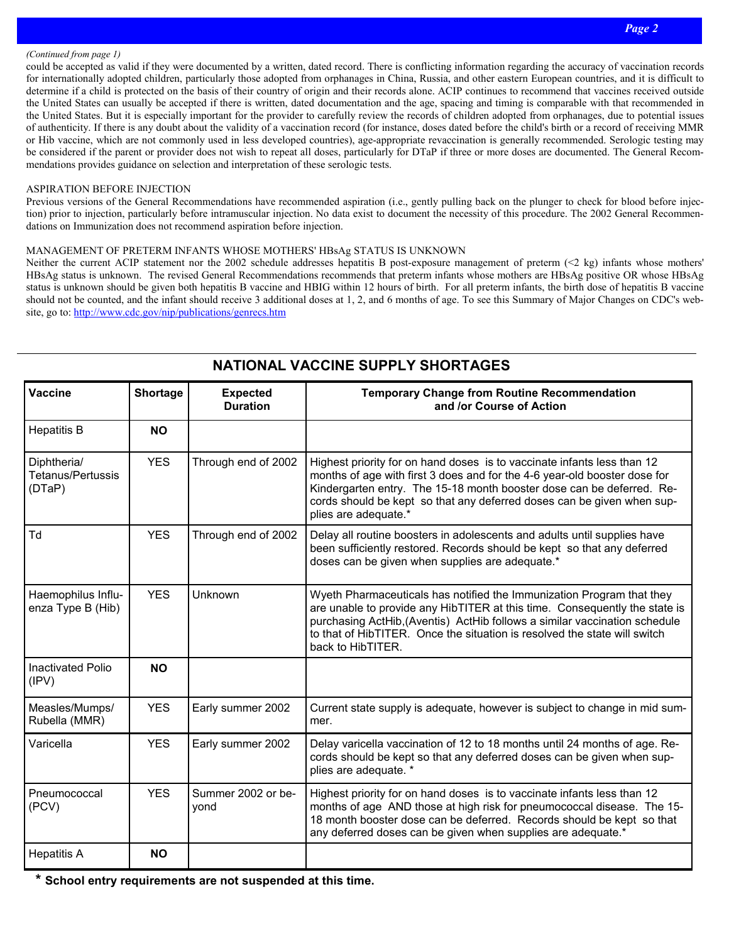### *(Continued from page 1)*

could be accepted as valid if they were documented by a written, dated record. There is conflicting information regarding the accuracy of vaccination records for internationally adopted children, particularly those adopted from orphanages in China, Russia, and other eastern European countries, and it is difficult to determine if a child is protected on the basis of their country of origin and their records alone. ACIP continues to recommend that vaccines received outside the United States can usually be accepted if there is written, dated documentation and the age, spacing and timing is comparable with that recommended in the United States. But it is especially important for the provider to carefully review the records of children adopted from orphanages, due to potential issues of authenticity. If there is any doubt about the validity of a vaccination record (for instance, doses dated before the child's birth or a record of receiving MMR or Hib vaccine, which are not commonly used in less developed countries), age-appropriate revaccination is generally recommended. Serologic testing may be considered if the parent or provider does not wish to repeat all doses, particularly for DTaP if three or more doses are documented. The General Recommendations provides guidance on selection and interpretation of these serologic tests.

### ASPIRATION BEFORE INJECTION

Previous versions of the General Recommendations have recommended aspiration (i.e., gently pulling back on the plunger to check for blood before injection) prior to injection, particularly before intramuscular injection. No data exist to document the necessity of this procedure. The 2002 General Recommendations on Immunization does not recommend aspiration before injection.

### MANAGEMENT OF PRETERM INFANTS WHOSE MOTHERS' HBsAg STATUS IS UNKNOWN

Neither the current ACIP statement nor the 2002 schedule addresses hepatitis B post-exposure management of preterm (<2 kg) infants whose mothers' HBsAg status is unknown. The revised General Recommendations recommends that preterm infants whose mothers are HBsAg positive OR whose HBsAg status is unknown should be given both hepatitis B vaccine and HBIG within 12 hours of birth. For all preterm infants, the birth dose of hepatitis B vaccine should not be counted, and the infant should receive 3 additional doses at 1, 2, and 6 months of age. To see this Summary of Major Changes on CDC's website, go to: http://www.cdc.gov/nip/publications/genrecs.htm

| Vaccine                                    | Shortage   | <b>Expected</b><br><b>Duration</b> | <b>Temporary Change from Routine Recommendation</b><br>and /or Course of Action                                                                                                                                                                                                                                                     |  |
|--------------------------------------------|------------|------------------------------------|-------------------------------------------------------------------------------------------------------------------------------------------------------------------------------------------------------------------------------------------------------------------------------------------------------------------------------------|--|
| <b>Hepatitis B</b>                         | <b>NO</b>  |                                    |                                                                                                                                                                                                                                                                                                                                     |  |
| Diphtheria/<br>Tetanus/Pertussis<br>(DTaP) | <b>YES</b> | Through end of 2002                | Highest priority for on hand doses is to vaccinate infants less than 12<br>months of age with first 3 does and for the 4-6 year-old booster dose for<br>Kindergarten entry. The 15-18 month booster dose can be deferred. Re-<br>cords should be kept so that any deferred doses can be given when sup-<br>plies are adequate.*     |  |
| Td                                         | <b>YES</b> | Through end of 2002                | Delay all routine boosters in adolescents and adults until supplies have<br>been sufficiently restored. Records should be kept so that any deferred<br>doses can be given when supplies are adequate.*                                                                                                                              |  |
| Haemophilus Influ-<br>enza Type B (Hib)    | <b>YES</b> | Unknown                            | Wyeth Pharmaceuticals has notified the Immunization Program that they<br>are unable to provide any HibTITER at this time. Consequently the state is<br>purchasing ActHib, (Aventis) ActHib follows a similar vaccination schedule<br>to that of HibTITER. Once the situation is resolved the state will switch<br>back to HibTITER. |  |
| <b>Inactivated Polio</b><br>(IPV)          | <b>NO</b>  |                                    |                                                                                                                                                                                                                                                                                                                                     |  |
| Measles/Mumps/<br>Rubella (MMR)            | <b>YES</b> | Early summer 2002                  | Current state supply is adequate, however is subject to change in mid sum-<br>mer.                                                                                                                                                                                                                                                  |  |
| Varicella                                  | <b>YES</b> | Early summer 2002                  | Delay varicella vaccination of 12 to 18 months until 24 months of age. Re-<br>cords should be kept so that any deferred doses can be given when sup-<br>plies are adequate. *                                                                                                                                                       |  |
| Pneumococcal<br>(PCV)                      | <b>YES</b> | Summer 2002 or be-<br>yond         | Highest priority for on hand doses is to vaccinate infants less than 12<br>months of age AND those at high risk for pneumococcal disease. The 15-<br>18 month booster dose can be deferred. Records should be kept so that<br>any deferred doses can be given when supplies are adequate.*                                          |  |
| <b>Hepatitis A</b>                         | <b>NO</b>  |                                    |                                                                                                                                                                                                                                                                                                                                     |  |

**NATIONAL VACCINE SUPPLY SHORTAGES** 

**\* School entry requirements are not suspended at this time.**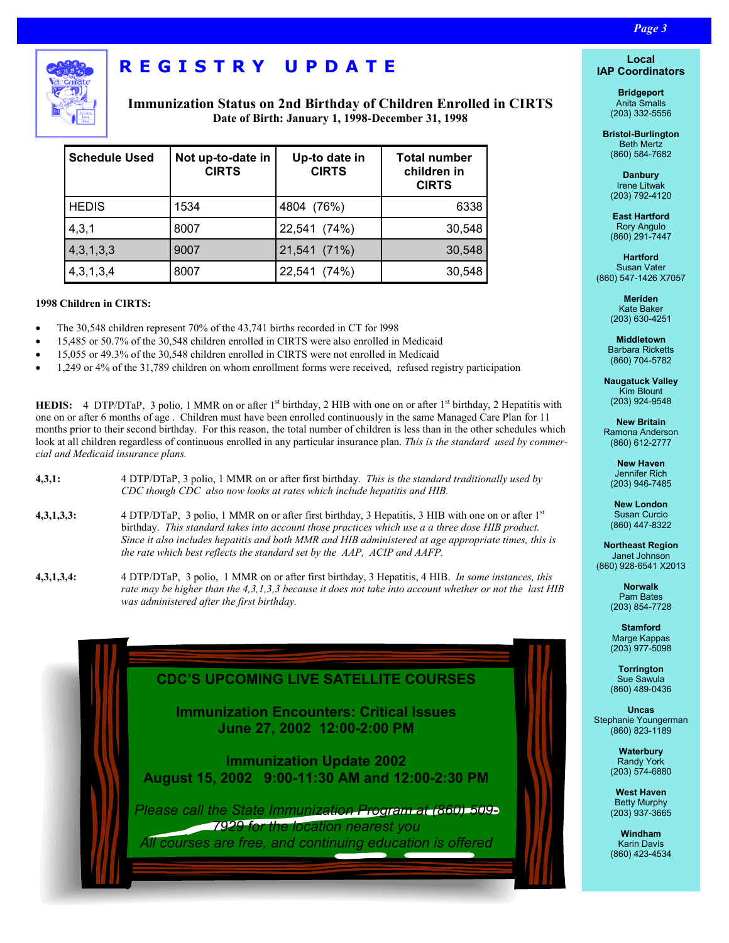

# **REGISTRY UPDATE**

**Immunization Status on 2nd Birthday of Children Enrolled in CIRTS Date of Birth: January 1, 1998-December 31, 1998** 

*Page 3 Page 3 Page 3 Page 3* **<b>***Page 3 Page 3 Page 3* 

| <b>Schedule Used</b> | Not up-to-date in<br><b>CIRTS</b> | Up-to date in<br><b>CIRTS</b> | <b>Total number</b><br>children in<br><b>CIRTS</b> |
|----------------------|-----------------------------------|-------------------------------|----------------------------------------------------|
| <b>HEDIS</b>         | 1534                              | 4804 (76%)                    | 6338                                               |
| 4,3,1                | 8007                              | 22,541 (74%)                  | 30,548                                             |
| 4,3,1,3,3            | 9007                              | 21,541 (71%)                  | 30,548                                             |
| 4,3,1,3,4            | 8007                              | 22,541 (74%)                  | 30,548                                             |

### **1998 Children in CIRTS:**

- The 30,548 children represent 70% of the 43,741 births recorded in CT for l998
- 15,485 or 50.7% of the 30,548 children enrolled in CIRTS were also enrolled in Medicaid
- 15,055 or 49.3% of the 30,548 children enrolled in CIRTS were not enrolled in Medicaid
- 1,249 or 4% of the 31,789 children on whom enrollment forms were received, refused registry participation

**HEDIS:** 4 DTP/DTaP, 3 polio, 1 MMR on or after 1<sup>st</sup> birthday, 2 HIB with one on or after 1<sup>st</sup> birthday, 2 Hepatitis with one on or after 6 months of age . Children must have been enrolled continuously in the same Managed Care Plan for 11 months prior to their second birthday. For this reason, the total number of children is less than in the other schedules which look at all children regardless of continuous enrolled in any particular insurance plan. *This is the standard used by commercial and Medicaid insurance plans.* 

- **4,3,1:** 4 DTP/DTaP, 3 polio, 1 MMR on or after first birthday. *This is the standard traditionally used by CDC though CDC also now looks at rates which include hepatitis and HIB.*
- **4,3,1,3,3:** 4 DTP/DTaP, 3 polio, 1 MMR on or after first birthday, 3 Hepatitis, 3 HIB with one on or after 1st birthday. *This standard takes into account those practices which use a a three dose HIB product. Since it also includes hepatitis and both MMR and HIB administered at age appropriate times, this is the rate which best reflects the standard set by the AAP, ACIP and AAFP.*
- **4,3,1,3,4:** 4 DTP/DTaP, 3 polio, 1 MMR on or after first birthday, 3 Hepatitis, 4 HIB. *In some instances, this rate may be higher than the 4,3,1,3,3 because it does not take into account whether or not the last HIB was administered after the first birthday.*



### **Local IAP Coordinators**

**Bridgeport**  Anita Smalls (203) 332-5556

**Bristol-Burlington**  Beth Mertz (860) 584-7682

> **Danbury**  Irene Litwak (203) 792-4120

> **East Hartford**  Rory Angulo (860) 291-7447

**Hartford**  Susan Vater (860) 547-1426 X7057

> **Meriden**  Kate Baker (203) 630-4251

**Middletown**  Barbara Ricketts (860) 704-5782

**Naugatuck Valley**  Kim Blount (203) 924-9548

**New Britain**  Ramona Anderson (860) 612-2777

**New Haven**  Jennifer Rich (203) 946-7485

**New London**  Susan Curcio (860) 447-8322

**Northeast Region**  Janet Johnson (860) 928-6541 X2013

> **Norwalk**  Pam Bates (203) 854-7728

> **Stamford**  Marge Kappas (203) 977-5098

> **Torrington**  Sue Sawula (860) 489-0436

**Uncas**  Stephanie Youngerman (860) 823-1189

> **Waterbury**  Randy York (203) 574-6880

**West Haven**  Betty Murphy (203) 937-3665

**Windham**  Karin Davis (860) 423-4534